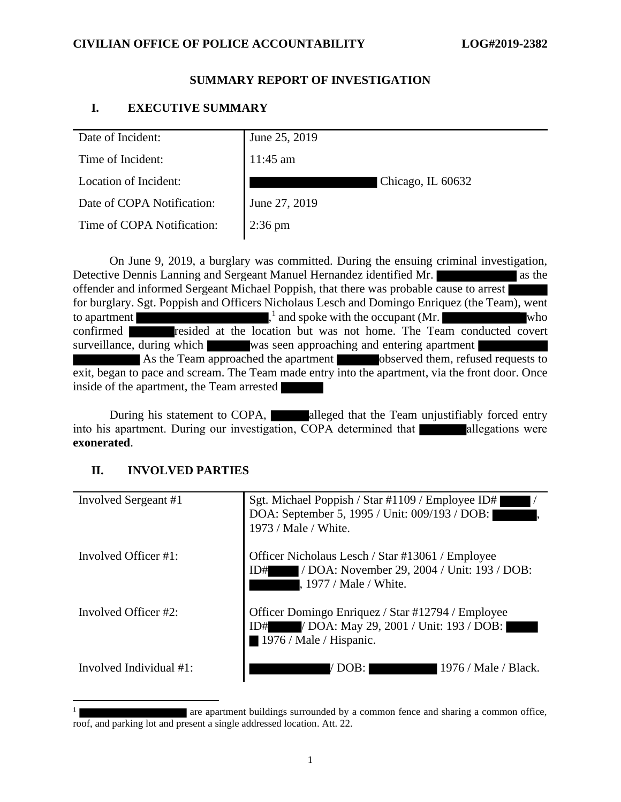## **CIVILIAN OFFICE OF POLICE ACCOUNTABILITY LOG#2019-2382**

## **SUMMARY REPORT OF INVESTIGATION**

## **I. EXECUTIVE SUMMARY**

On June 9, 2019, a burglary was committed. During the ensuing criminal investigation, Detective Dennis Lanning and Sergeant Manuel Hernandez identified Mr. offender and informed Sergeant Michael Poppish, that there was probable cause to arrest for burglary. Sgt. Poppish and Officers Nicholaus Lesch and Domingo Enriquez (the Team), went to apartment <sup>1</sup> and spoke with the occupant (Mr. who confirmed **resided** at the location but was not home. The Team conducted covert surveillance, during which was seen approaching and entering apartment As the Team approached the apartment observed them, refused requests to exit, began to pace and scream. The Team made entry into the apartment, via the front door. Once inside of the apartment, the Team arrested

During his statement to COPA, alleged that the Team unjustifiably forced entry into his apartment. During our investigation, COPA determined that allegations were **exonerated**.

## **II. INVOLVED PARTIES**

| Involved Sergeant #1     | Sgt. Michael Poppish / Star #1109 / Employee ID#<br>DOA: September 5, 1995 / Unit: 009/193 / DOB:<br>1973 / Male / White.        |
|--------------------------|----------------------------------------------------------------------------------------------------------------------------------|
| Involved Officer $\#1$ : | Officer Nicholaus Lesch / Star #13061 / Employee<br>/ DOA: November 29, 2004 / Unit: 193 / DOB:<br>ID#<br>. 1977 / Male / White. |
| Involved Officer #2:     | Officer Domingo Enriquez / Star #12794 / Employee<br>ID# / DOA: May 29, 2001 / Unit: 193 / DOB:<br>1976 / Male / Hispanic.       |
| Involved Individual #1:  | -1976 / Male / Black.<br>DOB:                                                                                                    |

<sup>1</sup> are apartment buildings surrounded by a common fence and sharing a common office, roof, and parking lot and present a single addressed location. Att. 22.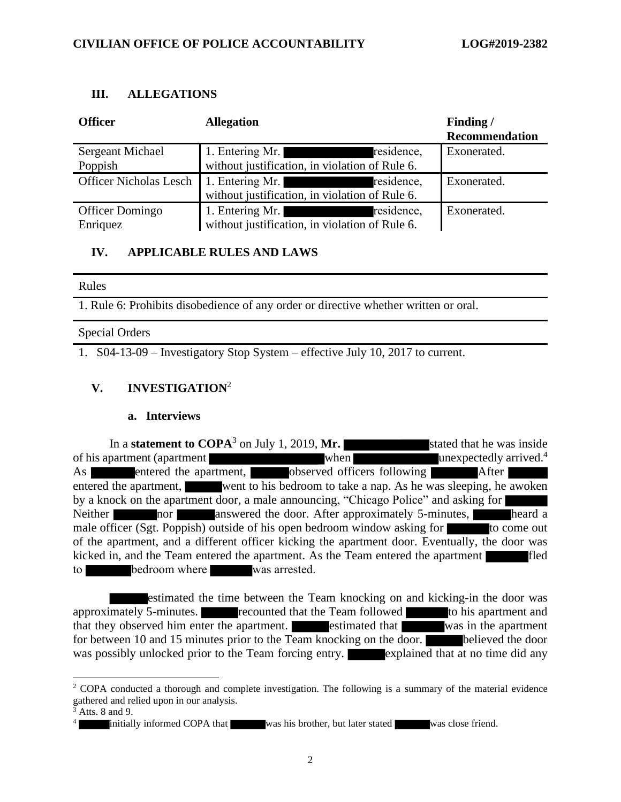## **III. ALLEGATIONS**

| <b>Officer</b>                | <b>Allegation</b>                                                                                                                                                                                                                                                     | Finding/<br><b>Recommendation</b> |
|-------------------------------|-----------------------------------------------------------------------------------------------------------------------------------------------------------------------------------------------------------------------------------------------------------------------|-----------------------------------|
| <b>Sergeant Michael</b>       | 1. Entering Mr.<br>residence,                                                                                                                                                                                                                                         | Exonerated.                       |
| Poppish                       | without justification, in violation of Rule 6.                                                                                                                                                                                                                        |                                   |
| <b>Officer Nicholas Lesch</b> | 1. Entering Mr.<br>residence,<br><u> III di sebagai sebagai sebagai sebagai sebagai sebagai sebagai sebagai sebagai sebagai sebagai sebagai sebagai</u>                                                                                                               | Exonerated.                       |
|                               | without justification, in violation of Rule 6.                                                                                                                                                                                                                        |                                   |
| Officer Domingo               | 1. Entering Mr.<br>residence,<br><u> The Common School and School and School and School and School and School and School and School and School and School and School and School and School and School and School and School and School and School and School and </u> | Exonerated.                       |
| Enriquez                      | without justification, in violation of Rule 6.                                                                                                                                                                                                                        |                                   |

# **IV. APPLICABLE RULES AND LAWS**

### Rules

1. Rule 6: Prohibits disobedience of any order or directive whether written or oral.

## Special Orders

1. S04-13-09 – Investigatory Stop System – effective July 10, 2017 to current.

# **V. INVESTIGATION**<sup>2</sup>

## **a. Interviews**

In a **statement to COPA**<sup>3</sup> on July 1, 2019, Mr. stated that he was inside of his apartment (apartment when when unexpectedly arrived.<sup>4</sup> As entered the apartment, observed officers following After entered the apartment, went to his bedroom to take a nap. As he was sleeping, he awoken by a knock on the apartment door, a male announcing, "Chicago Police" and asking for Neither **nor** answered the door. After approximately 5-minutes, heard a male officer (Sgt. Poppish) outside of his open bedroom window asking for the come out of the apartment, and a different officer kicking the apartment door. Eventually, the door was kicked in, and the Team entered the apartment. As the Team entered the apartment fled to bedroom where was arrested.

estimated the time between the Team knocking on and kicking-in the door was approximately 5-minutes. **recounted that the Team followed** to his apartment and that they observed him enter the apartment. The estimated that was in the apartment for between 10 and 15 minutes prior to the Team knocking on the door. **believed the door** was possibly unlocked prior to the Team forcing entry. explained that at no time did any

<sup>&</sup>lt;sup>2</sup> COPA conducted a thorough and complete investigation. The following is a summary of the material evidence gathered and relied upon in our analysis.

Atts. 8 and 9.

<sup>4</sup> initially informed COPA that was his brother, but later stated was close friend.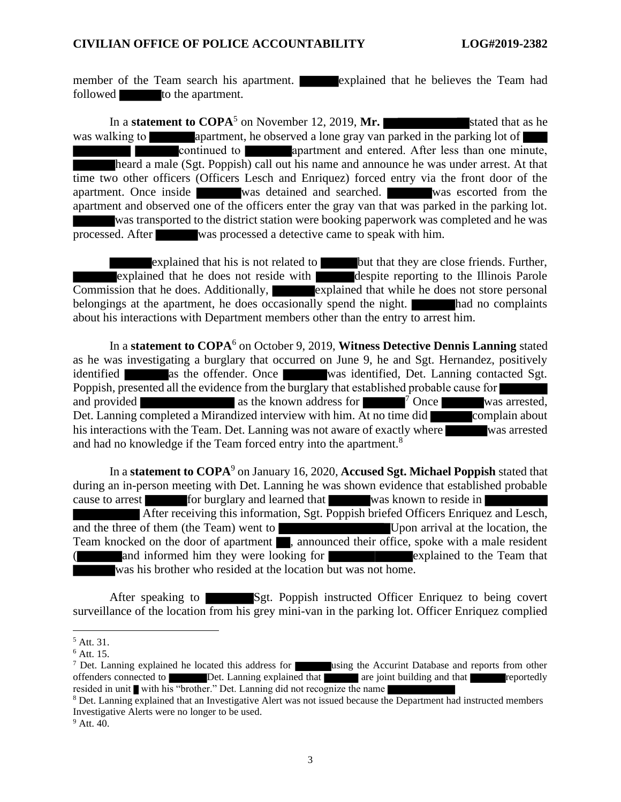member of the Team search his apartment. **Explained that he believes the Team had** followed to the apartment.

In a **statement to COPA**<sup>5</sup> on November 12, 2019, **Mr.** Stated that as he was walking to apartment, he observed a lone gray van parked in the parking lot of **Continued to apartment and entered.** After less than one minute, heard a male (Sgt. Poppish) call out his name and announce he was under arrest. At that time two other officers (Officers Lesch and Enriquez) forced entry via the front door of the apartment. Once inside was detained and searched. Was escorted from the apartment and observed one of the officers enter the gray van that was parked in the parking lot. was transported to the district station were booking paperwork was completed and he was processed. After was processed a detective came to speak with him.

explained that his is not related to but that they are close friends. Further, explained that he does not reside with despite reporting to the Illinois Parole Commission that he does. Additionally, explained that while he does not store personal belongings at the apartment, he does occasionally spend the night. had no complaints about his interactions with Department members other than the entry to arrest him.

In a **statement to COPA**<sup>6</sup> on October 9, 2019, **Witness Detective Dennis Lanning** stated as he was investigating a burglary that occurred on June 9, he and Sgt. Hernandez, positively identified as the offender. Once was identified, Det. Lanning contacted Sgt. Poppish, presented all the evidence from the burglary that established probable cause for and provided  $\alpha$  as the known address for  $\alpha$  Once was arrested, Det. Lanning completed a Mirandized interview with him. At no time did complain about his interactions with the Team. Det. Lanning was not aware of exactly where was arrested and had no knowledge if the Team forced entry into the apartment.<sup>8</sup>

In a **statement to COPA**<sup>9</sup> on January 16, 2020, **Accused Sgt. Michael Poppish** stated that during an in-person meeting with Det. Lanning he was shown evidence that established probable cause to arrest for burglary and learned that was known to reside in After receiving this information, Sgt. Poppish briefed Officers Enriquez and Lesch, and the three of them (the Team) went to Upon arrival at the location, the Team knocked on the door of apartment , announced their office, spoke with a male resident and informed him they were looking for **explained** to the Team that was his brother who resided at the location but was not home.

After speaking to Sgt. Poppish instructed Officer Enriquez to being covert surveillance of the location from his grey mini-van in the parking lot. Officer Enriquez complied

<sup>5</sup> Att. 31.

 $<sup>6</sup>$  Att. 15.</sup>

<sup>&</sup>lt;sup>7</sup> Det. Lanning explained he located this address for using the Accurint Database and reports from other offenders connected to Det. Lanning explained that are joint building and that reportedly resided in unit with his "brother." Det. Lanning did not recognize the name

<sup>&</sup>lt;sup>8</sup> Det. Lanning explained that an Investigative Alert was not issued because the Department had instructed members Investigative Alerts were no longer to be used.

<sup>&</sup>lt;sup>9</sup> Att. 40.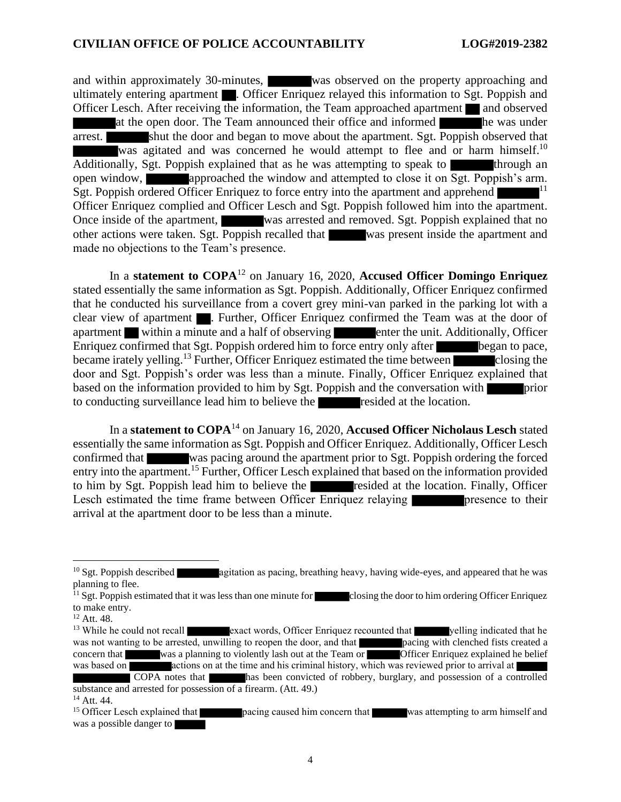and within approximately 30-minutes, was observed on the property approaching and ultimately entering apartment **.** Officer Enriquez relayed this information to Sgt. Poppish and Officer Lesch. After receiving the information, the Team approached apartment and observed at the open door. The Team announced their office and informed he was under arrest. shut the door and began to move about the apartment. Sgt. Poppish observed that was agitated and was concerned he would attempt to flee and or harm himself.<sup>10</sup> Additionally, Sgt. Poppish explained that as he was attempting to speak to  $\blacksquare$  through an open window, approached the window and attempted to close it on Sgt. Poppish's arm. Sgt. Poppish ordered Officer Enriquez to force entry into the apartment and apprehend Officer Enriquez complied and Officer Lesch and Sgt. Poppish followed him into the apartment. Once inside of the apartment, was arrested and removed. Sgt. Poppish explained that no other actions were taken. Sgt. Poppish recalled that was present inside the apartment and made no objections to the Team's presence.

In a **statement to COPA**<sup>12</sup> on January 16, 2020, **Accused Officer Domingo Enriquez** stated essentially the same information as Sgt. Poppish. Additionally, Officer Enriquez confirmed that he conducted his surveillance from a covert grey mini-van parked in the parking lot with a clear view of apartment . Further, Officer Enriquez confirmed the Team was at the door of apartment within a minute and a half of observing enter the unit. Additionally, Officer Enriquez confirmed that Sgt. Poppish ordered him to force entry only after began to pace, became irately yelling.<sup>13</sup> Further, Officer Enriquez estimated the time between closing the door and Sgt. Poppish's order was less than a minute. Finally, Officer Enriquez explained that based on the information provided to him by Sgt. Poppish and the conversation with to conducting surveillance lead him to believe the resided at the location.

In a **statement to COPA**<sup>14</sup> on January 16, 2020, **Accused Officer Nicholaus Lesch** stated essentially the same information as Sgt. Poppish and Officer Enriquez. Additionally, Officer Lesch confirmed that was pacing around the apartment prior to Sgt. Poppish ordering the forced entry into the apartment.<sup>15</sup> Further, Officer Lesch explained that based on the information provided to him by Sgt. Poppish lead him to believe the resided at the location. Finally, Officer Lesch estimated the time frame between Officer Enriquez relaying presence to their arrival at the apartment door to be less than a minute.

 $10$  Sgt. Poppish described agitation as pacing, breathing heavy, having wide-eyes, and appeared that he was planning to flee.

 $11$  Sgt. Poppish estimated that it was less than one minute for closing the door to him ordering Officer Enriquez to make entry.

<sup>12</sup> Att. 48.

<sup>&</sup>lt;sup>13</sup> While he could not recall exact words, Officer Enriquez recounted that yelling indicated that he was not wanting to be arrested, unwilling to reopen the door, and that **pacing with clenched fists created a** concern that was a planning to violently lash out at the Team or **Officer Enriquez** explained he belief concern that was a planning to violently lash out at the Team or  $\overline{\phantom{a}}$ was based on actions on at the time and his criminal history, which was reviewed prior to arrival at COPA notes that has been convicted of robbery, burglary, and possession of a controlled

substance and arrested for possession of a firearm. (Att. 49.) <sup>14</sup> Att. 44.

<sup>&</sup>lt;sup>15</sup> Officer Lesch explained that **pacing caused him concern that** was attempting to arm himself and was a possible danger to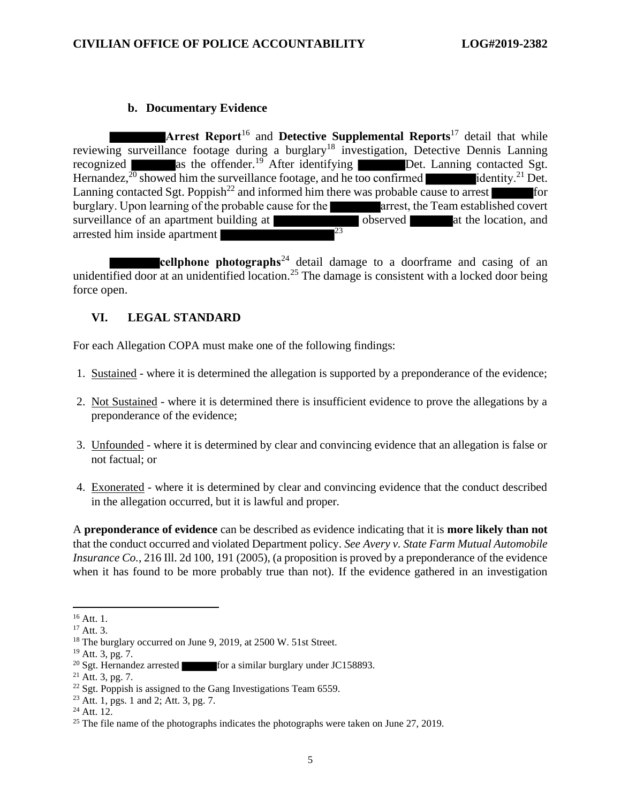## **b. Documentary Evidence**

**Arrest Report**<sup>16</sup> and **Detective Supplemental Reports**<sup>17</sup> detail that while reviewing surveillance footage during a burglary<sup>18</sup> investigation, Detective Dennis Lanning recognized as the offender.<sup>19</sup> After identifying Det. Lanning contacted Sgt. Hernandez,  $^{20}$  showed him the surveillance footage, and he too confirmed identity.<sup>21</sup> Det. Lanning contacted Sgt. Poppish<sup>22</sup> and informed him there was probable cause to arrest burglary. Upon learning of the probable cause for the arrest, the Team established covert surveillance of an apartment building at **a surveillance** observed at the location, and arrested him inside apartment arrested him inside apartment

**cellphone photographs**<sup>24</sup> detail damage to a doorframe and casing of an unidentified door at an unidentified location.<sup>25</sup> The damage is consistent with a locked door being force open.

# **VI. LEGAL STANDARD**

For each Allegation COPA must make one of the following findings:

- 1. Sustained where it is determined the allegation is supported by a preponderance of the evidence;
- 2. Not Sustained where it is determined there is insufficient evidence to prove the allegations by a preponderance of the evidence;
- 3. Unfounded where it is determined by clear and convincing evidence that an allegation is false or not factual; or
- 4. Exonerated where it is determined by clear and convincing evidence that the conduct described in the allegation occurred, but it is lawful and proper.

A **preponderance of evidence** can be described as evidence indicating that it is **more likely than not** that the conduct occurred and violated Department policy. *See Avery v. State Farm Mutual Automobile Insurance Co.*, 216 Ill. 2d 100, 191 (2005), (a proposition is proved by a preponderance of the evidence when it has found to be more probably true than not). If the evidence gathered in an investigation

<sup>&</sup>lt;sup>16</sup> Att. 1.

 $17$  Att. 3.

<sup>&</sup>lt;sup>18</sup> The burglary occurred on June 9, 2019, at 2500 W. 51st Street.

 $19$  Att. 3, pg. 7.

<sup>&</sup>lt;sup>20</sup> Sgt. Hernandez arrested for a similar burglary under JC158893.

 $21$  Att. 3, pg. 7.

 $22$  Sgt. Poppish is assigned to the Gang Investigations Team 6559.

<sup>23</sup> Att. 1, pgs. 1 and 2; Att. 3, pg. 7.

 $24$  Att. 12.

<sup>&</sup>lt;sup>25</sup> The file name of the photographs indicates the photographs were taken on June 27, 2019.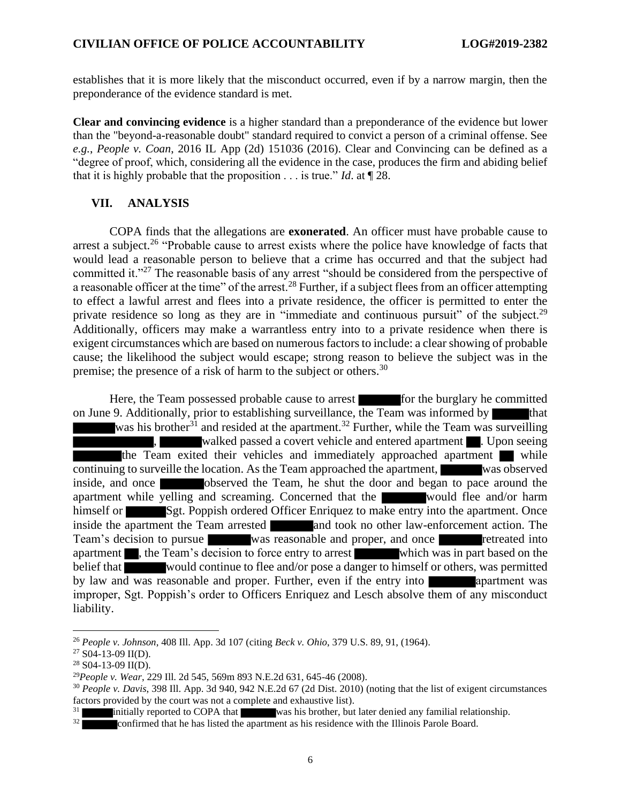establishes that it is more likely that the misconduct occurred, even if by a narrow margin, then the preponderance of the evidence standard is met.

**Clear and convincing evidence** is a higher standard than a preponderance of the evidence but lower than the "beyond-a-reasonable doubt" standard required to convict a person of a criminal offense. See *e.g.*, *People v. Coan*, 2016 IL App (2d) 151036 (2016). Clear and Convincing can be defined as a "degree of proof, which, considering all the evidence in the case, produces the firm and abiding belief that it is highly probable that the proposition . . . is true." *Id*. at ¶ 28.

### **VII. ANALYSIS**

COPA finds that the allegations are **exonerated**. An officer must have probable cause to arrest a subject.<sup>26</sup> "Probable cause to arrest exists where the police have knowledge of facts that would lead a reasonable person to believe that a crime has occurred and that the subject had committed it."<sup>27</sup> The reasonable basis of any arrest "should be considered from the perspective of a reasonable officer at the time" of the arrest.<sup>28</sup> Further, if a subject flees from an officer attempting to effect a lawful arrest and flees into a private residence, the officer is permitted to enter the private residence so long as they are in "immediate and continuous pursuit" of the subject.<sup>29</sup> Additionally, officers may make a warrantless entry into to a private residence when there is exigent circumstances which are based on numerous factors to include: a clear showing of probable cause; the likelihood the subject would escape; strong reason to believe the subject was in the premise; the presence of a risk of harm to the subject or others.<sup>30</sup>

Here, the Team possessed probable cause to arrest for the burglary he committed on June 9. Additionally, prior to establishing surveillance, the Team was informed by that was his brother<sup>31</sup> and resided at the apartment.<sup>32</sup> Further, while the Team was surveilling walked passed a covert vehicle and entered apartment **.** Upon seeing the Team exited their vehicles and immediately approached apartment while continuing to surveille the location. As the Team approached the apartment, was observed inside, and once observed the Team, he shut the door and began to pace around the apartment while yelling and screaming. Concerned that the would flee and/or harm himself or Sgt. Poppish ordered Officer Enriquez to make entry into the apartment. Once inside the apartment the Team arrested and took no other law-enforcement action. The Team's decision to pursue was reasonable and proper, and once retreated into apartment **the Team's decision to force entry to arrest** which was in part based on the belief that would continue to flee and/or pose a danger to himself or others, was permitted by law and was reasonable and proper. Further, even if the entry into apartment was improper, Sgt. Poppish's order to Officers Enriquez and Lesch absolve them of any misconduct liability.

<sup>26</sup> *People v. Johnson*, 408 Ill. App. 3d 107 (citing *Beck v. Ohio*, 379 U.S. 89, 91, (1964).

 $27$  S04-13-09 II(D).

 $28$  S04-13-09 II(D).

<sup>29</sup>*People v. Wear*, 229 Ill. 2d 545, 569m 893 N.E.2d 631, 645-46 (2008).

<sup>30</sup> *People v. Davis*, 398 Ill. App. 3d 940, 942 N.E.2d 67 (2d Dist. 2010) (noting that the list of exigent circumstances factors provided by the court was not a complete and exhaustive list).

initially reported to COPA that was his brother, but later denied any familial relationship.

 $32$  confirmed that he has listed the apartment as his residence with the Illinois Parole Board.